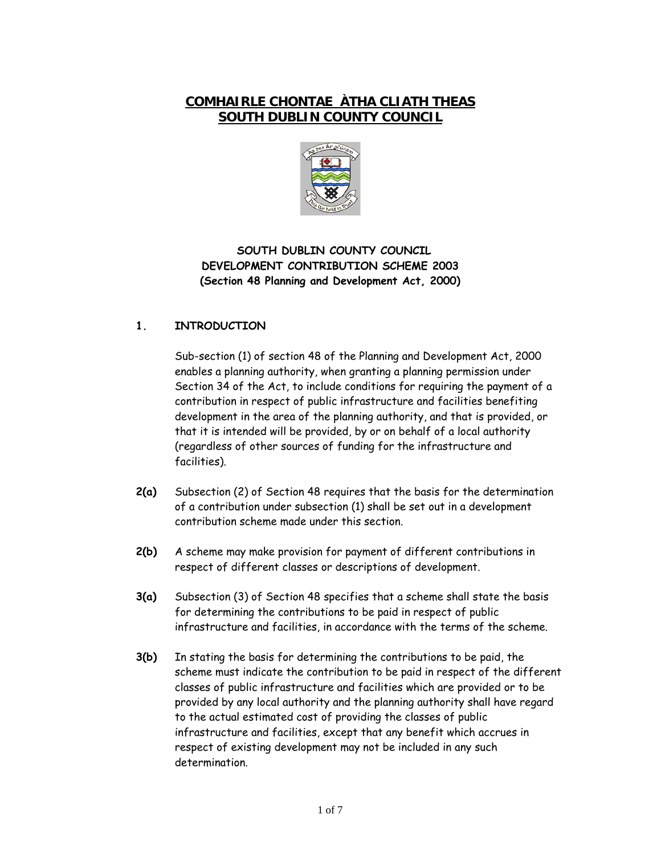# **COMHAIRLE CHONTAE ÀTHA CLIATH THEAS SOUTH DUBLIN COUNTY COUNCIL**



## **SOUTH DUBLIN COUNTY COUNCIL DEVELOPMENT CONTRIBUTION SCHEME 2003 (Section 48 Planning and Development Act, 2000)**

## **1. INTRODUCTION**

Sub-section (1) of section 48 of the Planning and Development Act, 2000 enables a planning authority, when granting a planning permission under Section 34 of the Act, to include conditions for requiring the payment of a contribution in respect of public infrastructure and facilities benefiting development in the area of the planning authority, and that is provided, or that it is intended will be provided, by or on behalf of a local authority (regardless of other sources of funding for the infrastructure and facilities).

- **2(a)** Subsection (2) of Section 48 requires that the basis for the determination of a contribution under subsection (1) shall be set out in a development contribution scheme made under this section.
- **2(b)** A scheme may make provision for payment of different contributions in respect of different classes or descriptions of development.
- **3(a)** Subsection (3) of Section 48 specifies that a scheme shall state the basis for determining the contributions to be paid in respect of public infrastructure and facilities, in accordance with the terms of the scheme.
- **3(b)** In stating the basis for determining the contributions to be paid, the scheme must indicate the contribution to be paid in respect of the different classes of public infrastructure and facilities which are provided or to be provided by any local authority and the planning authority shall have regard to the actual estimated cost of providing the classes of public infrastructure and facilities, except that any benefit which accrues in respect of existing development may not be included in any such determination.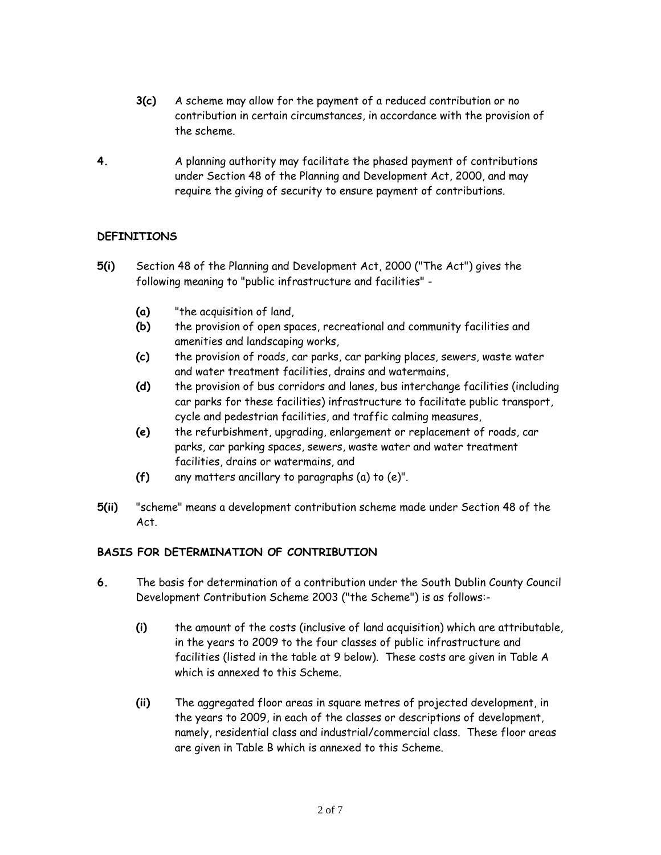- **3(c)** A scheme may allow for the payment of a reduced contribution or no contribution in certain circumstances, in accordance with the provision of the scheme.
- **4.** A planning authority may facilitate the phased payment of contributions under Section 48 of the Planning and Development Act, 2000, and may require the giving of security to ensure payment of contributions.

#### **DEFINITIONS**

- **5(i)** Section 48 of the Planning and Development Act, 2000 ("The Act") gives the following meaning to "public infrastructure and facilities" -
	- **(a)** "the acquisition of land,
	- **(b)** the provision of open spaces, recreational and community facilities and amenities and landscaping works,
	- **(c)** the provision of roads, car parks, car parking places, sewers, waste water and water treatment facilities, drains and watermains,
	- **(d)** the provision of bus corridors and lanes, bus interchange facilities (including car parks for these facilities) infrastructure to facilitate public transport, cycle and pedestrian facilities, and traffic calming measures,
	- **(e)** the refurbishment, upgrading, enlargement or replacement of roads, car parks, car parking spaces, sewers, waste water and water treatment facilities, drains or watermains, and
	- **(f)** any matters ancillary to paragraphs (a) to (e)".
- **5(ii)** "scheme" means a development contribution scheme made under Section 48 of the Act.

#### **BASIS FOR DETERMINATION OF CONTRIBUTION**

- **6.** The basis for determination of a contribution under the South Dublin County Council Development Contribution Scheme 2003 ("the Scheme") is as follows:-
	- **(i)** the amount of the costs (inclusive of land acquisition) which are attributable, in the years to 2009 to the four classes of public infrastructure and facilities (listed in the table at 9 below). These costs are given in Table A which is annexed to this Scheme.
	- **(ii)** The aggregated floor areas in square metres of projected development, in the years to 2009, in each of the classes or descriptions of development, namely, residential class and industrial/commercial class. These floor areas are given in Table B which is annexed to this Scheme.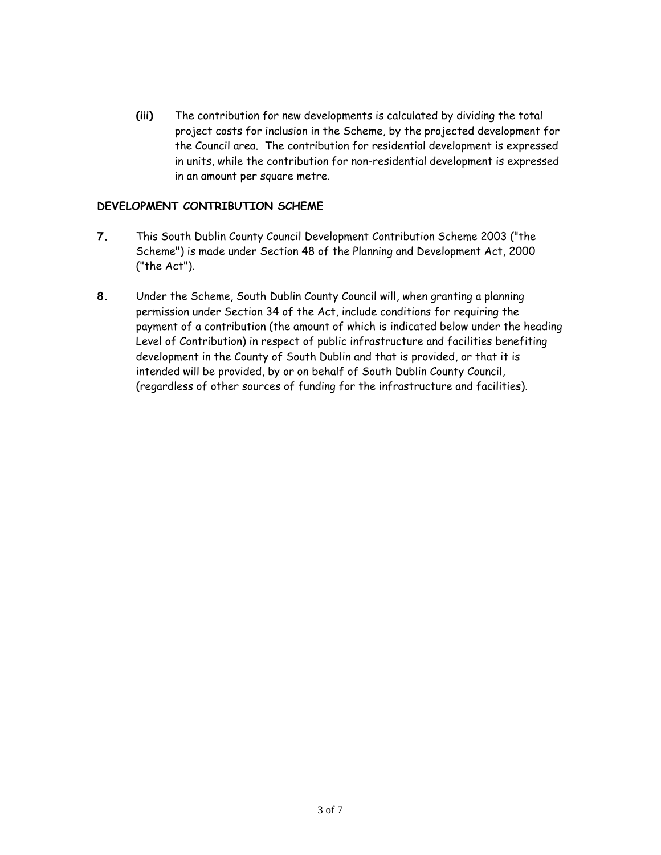**(iii)** The contribution for new developments is calculated by dividing the total project costs for inclusion in the Scheme, by the projected development for the Council area. The contribution for residential development is expressed in units, while the contribution for non-residential development is expressed in an amount per square metre.

#### **DEVELOPMENT CONTRIBUTION SCHEME**

- **7.** This South Dublin County Council Development Contribution Scheme 2003 ("the Scheme") is made under Section 48 of the Planning and Development Act, 2000 ("the Act").
- **8.** Under the Scheme, South Dublin County Council will, when granting a planning permission under Section 34 of the Act, include conditions for requiring the payment of a contribution (the amount of which is indicated below under the heading Level of Contribution) in respect of public infrastructure and facilities benefiting development in the County of South Dublin and that is provided, or that it is intended will be provided, by or on behalf of South Dublin County Council, (regardless of other sources of funding for the infrastructure and facilities).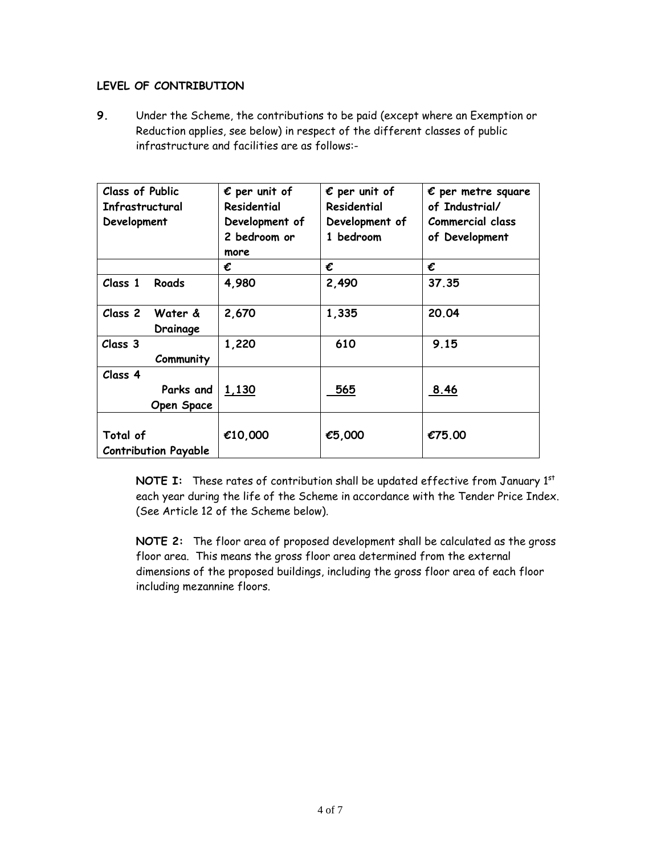#### **LEVEL OF CONTRIBUTION**

**9.** Under the Scheme, the contributions to be paid (except where an Exemption or Reduction applies, see below) in respect of the different classes of public infrastructure and facilities are as follows:-

| <b>Class of Public</b><br>Infrastructural | $\epsilon$ per unit of<br>Residential | $\epsilon$ per unit of<br>Residential | $\epsilon$ per metre square<br>of Industrial/ |
|-------------------------------------------|---------------------------------------|---------------------------------------|-----------------------------------------------|
| Development                               | Development of                        | Development of                        | Commercial class                              |
|                                           | 2 bedroom or                          | 1 bedroom                             | of Development                                |
|                                           | more                                  |                                       |                                               |
|                                           | €                                     | €                                     | €                                             |
| Class 1<br>Roads                          | 4,980                                 | 2,490                                 | 37.35                                         |
| Class 2<br>Water &                        | 2,670                                 | 1,335                                 | 20.04                                         |
| Drainage                                  |                                       |                                       |                                               |
| Class 3                                   | 1,220                                 | 610                                   | 9.15                                          |
| Community                                 |                                       |                                       |                                               |
| Class 4                                   |                                       |                                       |                                               |
| Parks and                                 | 1,130                                 | 565                                   | 8.46                                          |
| <b>Open Space</b>                         |                                       |                                       |                                               |
|                                           |                                       |                                       |                                               |
| Total of                                  | €10,000                               | €5,000                                | €75.00                                        |
| <b>Contribution Payable</b>               |                                       |                                       |                                               |

**NOTE I:** These rates of contribution shall be updated effective from January 1st each year during the life of the Scheme in accordance with the Tender Price Index. (See Article 12 of the Scheme below).

**NOTE 2:** The floor area of proposed development shall be calculated as the gross floor area. This means the gross floor area determined from the external dimensions of the proposed buildings, including the gross floor area of each floor including mezannine floors.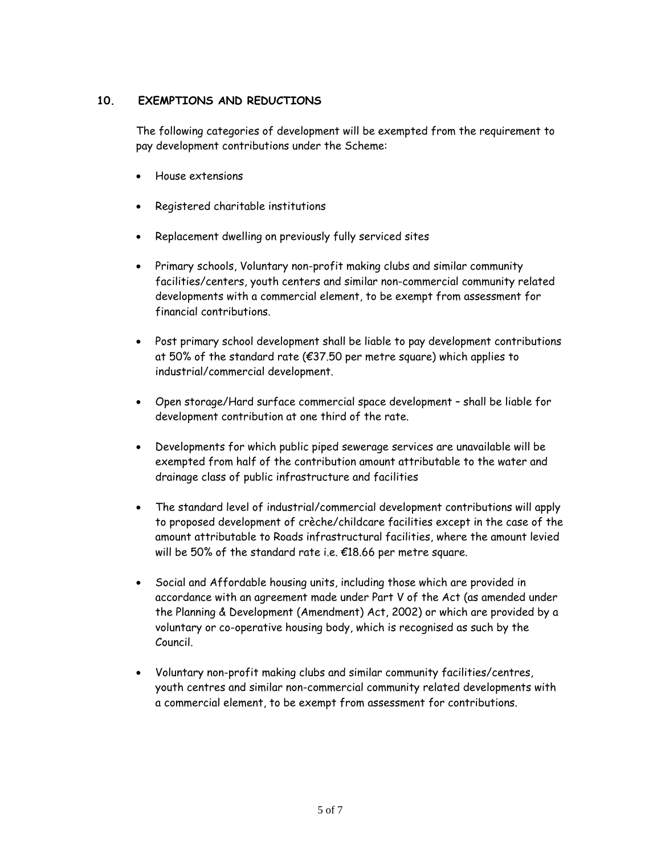## **10. EXEMPTIONS AND REDUCTIONS**

The following categories of development will be exempted from the requirement to pay development contributions under the Scheme:

- House extensions
- Registered charitable institutions
- Replacement dwelling on previously fully serviced sites
- Primary schools, Voluntary non-profit making clubs and similar community facilities/centers, youth centers and similar non-commercial community related developments with a commercial element, to be exempt from assessment for financial contributions.
- Post primary school development shall be liable to pay development contributions at 50% of the standard rate (€37.50 per metre square) which applies to industrial/commercial development.
- Open storage/Hard surface commercial space development shall be liable for development contribution at one third of the rate.
- Developments for which public piped sewerage services are unavailable will be exempted from half of the contribution amount attributable to the water and drainage class of public infrastructure and facilities
- The standard level of industrial/commercial development contributions will apply to proposed development of crèche/childcare facilities except in the case of the amount attributable to Roads infrastructural facilities, where the amount levied will be 50% of the standard rate i.e. €18.66 per metre square.
- Social and Affordable housing units, including those which are provided in accordance with an agreement made under Part V of the Act (as amended under the Planning & Development (Amendment) Act, 2002) or which are provided by a voluntary or co-operative housing body, which is recognised as such by the Council.
- Voluntary non-profit making clubs and similar community facilities/centres, youth centres and similar non-commercial community related developments with a commercial element, to be exempt from assessment for contributions.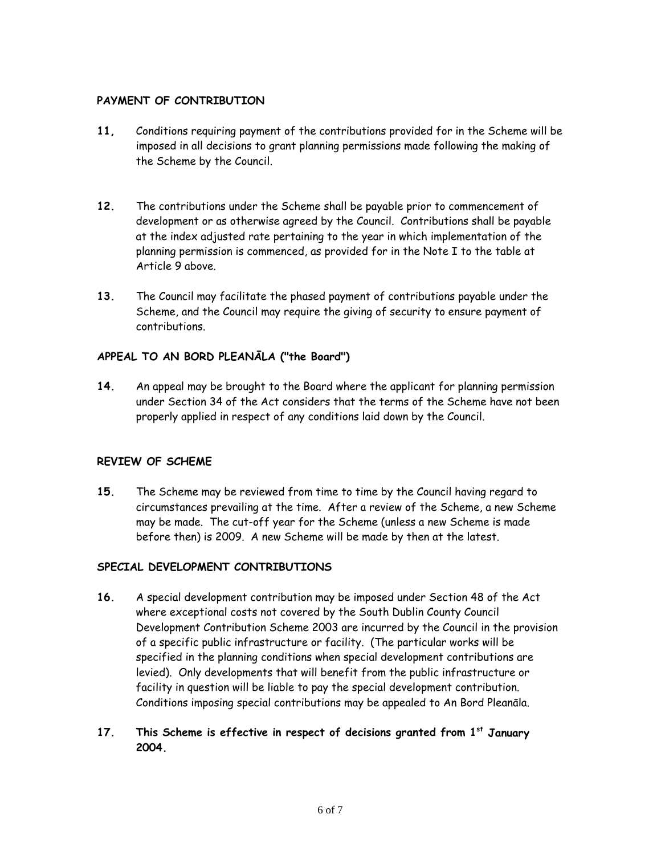#### **PAYMENT OF CONTRIBUTION**

- **11,** Conditions requiring payment of the contributions provided for in the Scheme will be imposed in all decisions to grant planning permissions made following the making of the Scheme by the Council.
- **12.** The contributions under the Scheme shall be payable prior to commencement of development or as otherwise agreed by the Council. Contributions shall be payable at the index adjusted rate pertaining to the year in which implementation of the planning permission is commenced, as provided for in the Note I to the table at Article 9 above.
- **13.** The Council may facilitate the phased payment of contributions payable under the Scheme, and the Council may require the giving of security to ensure payment of contributions.

#### **APPEAL TO AN BORD PLEANĀLA ("the Board")**

**14.** An appeal may be brought to the Board where the applicant for planning permission under Section 34 of the Act considers that the terms of the Scheme have not been properly applied in respect of any conditions laid down by the Council.

#### **REVIEW OF SCHEME**

**15.** The Scheme may be reviewed from time to time by the Council having regard to circumstances prevailing at the time. After a review of the Scheme, a new Scheme may be made. The cut-off year for the Scheme (unless a new Scheme is made before then) is 2009. A new Scheme will be made by then at the latest.

#### **SPECIAL DEVELOPMENT CONTRIBUTIONS**

- **16.** A special development contribution may be imposed under Section 48 of the Act where exceptional costs not covered by the South Dublin County Council Development Contribution Scheme 2003 are incurred by the Council in the provision of a specific public infrastructure or facility. (The particular works will be specified in the planning conditions when special development contributions are levied). Only developments that will benefit from the public infrastructure or facility in question will be liable to pay the special development contribution. Conditions imposing special contributions may be appealed to An Bord Pleanāla.
- **17. This Scheme is effective in respect of decisions granted from 1st January 2004.**